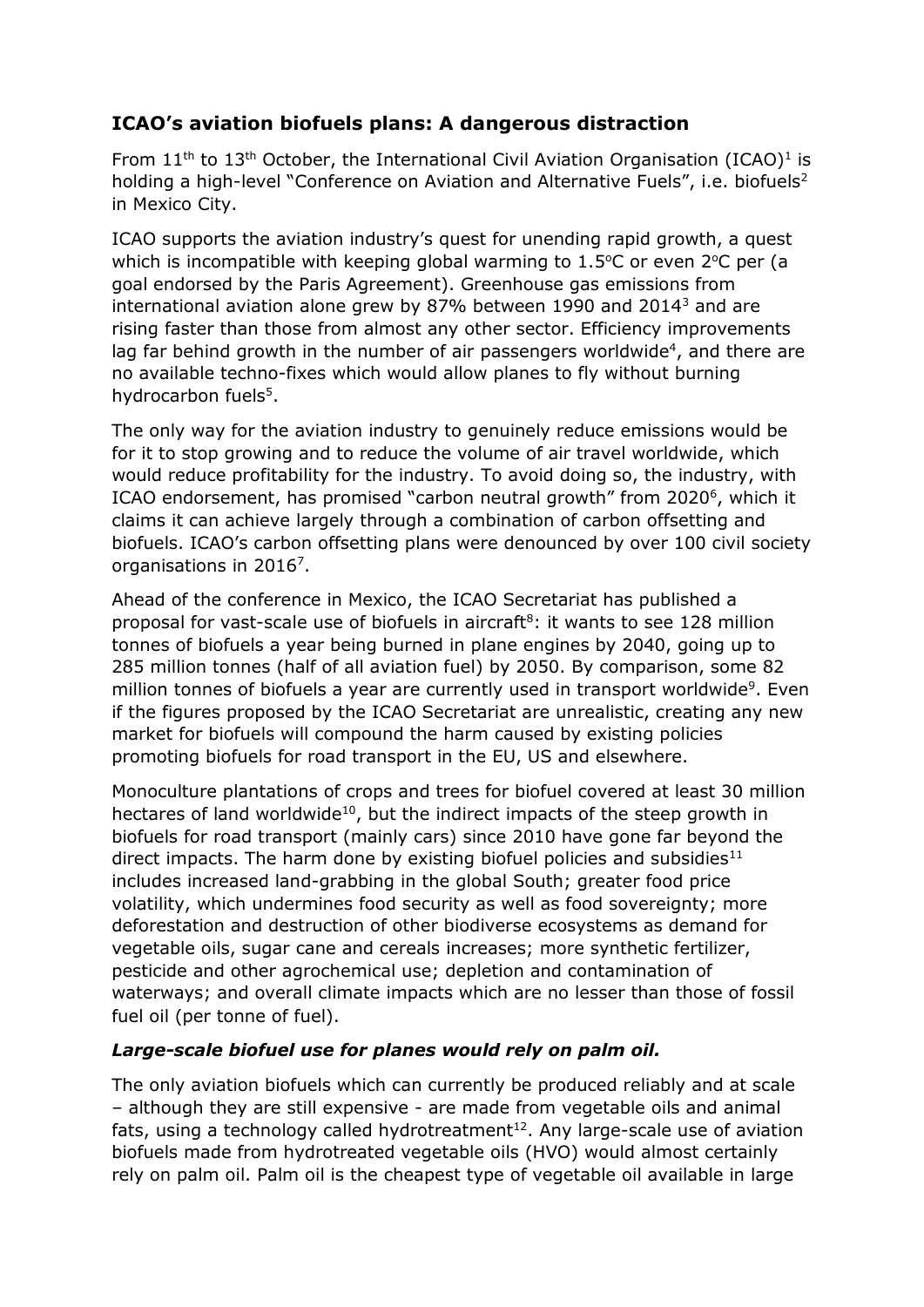# **ICAO's aviation biofuels plans: A dangerous distraction**

From  $11<sup>th</sup>$  to  $13<sup>th</sup>$  October, the International Civil Aviation Organisation (ICAO)<sup>1</sup> is holding a high-level "Conference on Aviation and Alternative Fuels", i.e. biofuels<sup>2</sup> in Mexico City.

ICAO supports the aviation industry's quest for unending rapid growth, a quest which is incompatible with keeping global warming to  $1.5^{\circ}$ C or even  $2^{\circ}$ C per (a goal endorsed by the Paris Agreement). Greenhouse gas emissions from international aviation alone grew by 87% between 1990 and 2014<sup>3</sup> and are rising faster than those from almost any other sector. Efficiency improvements lag far behind growth in the number of air passengers worldwide<sup>4</sup>, and there are no available techno-fixes which would allow planes to fly without burning hydrocarbon fuels<sup>5</sup>.

The only way for the aviation industry to genuinely reduce emissions would be for it to stop growing and to reduce the volume of air travel worldwide, which would reduce profitability for the industry. To avoid doing so, the industry, with ICAO endorsement, has promised "carbon neutral growth" from 2020<sup>6</sup>, which it claims it can achieve largely through a combination of carbon offsetting and biofuels. ICAO's carbon offsetting plans were denounced by over 100 civil society organisations in 2016<sup>7</sup>.

Ahead of the conference in Mexico, the ICAO Secretariat has published a proposal for vast-scale use of biofuels in aircraft<sup>8</sup>: it wants to see 128 million tonnes of biofuels a year being burned in plane engines by 2040, going up to 285 million tonnes (half of all aviation fuel) by 2050. By comparison, some 82 million tonnes of biofuels a year are currently used in transport worldwide<sup>9</sup>. Even if the figures proposed by the ICAO Secretariat are unrealistic, creating any new market for biofuels will compound the harm caused by existing policies promoting biofuels for road transport in the EU, US and elsewhere.

Monoculture plantations of crops and trees for biofuel covered at least 30 million hectares of land worldwide<sup>10</sup>, but the indirect impacts of the steep growth in biofuels for road transport (mainly cars) since 2010 have gone far beyond the direct impacts. The harm done by existing biofuel policies and subsidies<sup>11</sup> includes increased land-grabbing in the global South; greater food price volatility, which undermines food security as well as food sovereignty; more deforestation and destruction of other biodiverse ecosystems as demand for vegetable oils, sugar cane and cereals increases; more synthetic fertilizer, pesticide and other agrochemical use; depletion and contamination of waterways; and overall climate impacts which are no lesser than those of fossil fuel oil (per tonne of fuel).

#### *Large-scale biofuel use for planes would rely on palm oil.*

The only aviation biofuels which can currently be produced reliably and at scale – although they are still expensive - are made from vegetable oils and animal fats, using a technology called hydrotreatment<sup>12</sup>. Any large-scale use of aviation biofuels made from hydrotreated vegetable oils (HVO) would almost certainly rely on palm oil. Palm oil is the cheapest type of vegetable oil available in large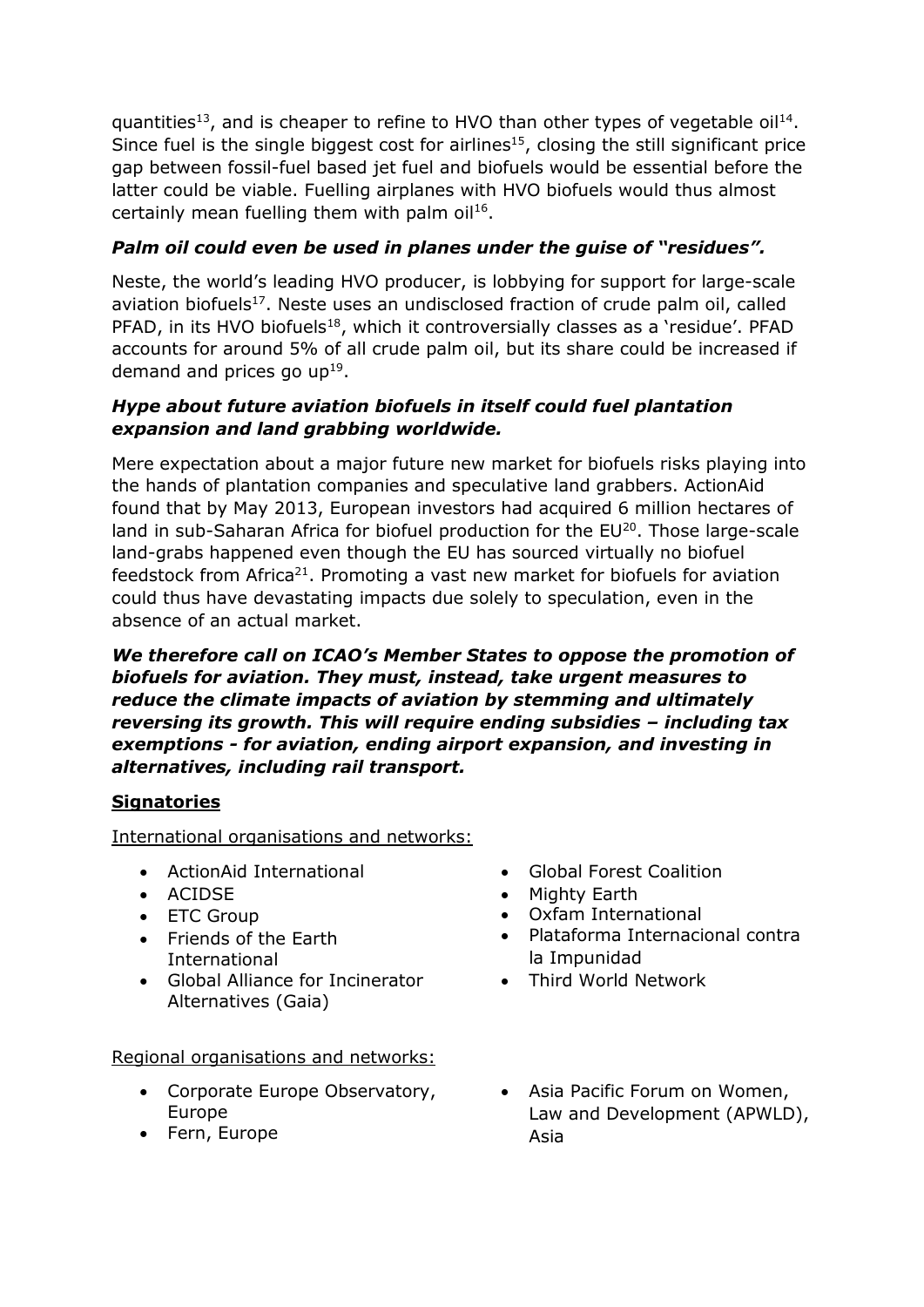quantities<sup>13</sup>, and is cheaper to refine to HVO than other types of vegetable oil<sup>14</sup>. Since fuel is the single biggest cost for airlines<sup>15</sup>, closing the still significant price gap between fossil-fuel based jet fuel and biofuels would be essential before the latter could be viable. Fuelling airplanes with HVO biofuels would thus almost certainly mean fuelling them with palm oil<sup>16</sup>.

### *Palm oil could even be used in planes under the guise of "residues".*

Neste, the world's leading HVO producer, is lobbying for support for large-scale aviation biofuels<sup>17</sup>. Neste uses an undisclosed fraction of crude palm oil, called PFAD, in its HVO biofuels<sup>18</sup>, which it controversially classes as a 'residue'. PFAD accounts for around 5% of all crude palm oil, but its share could be increased if demand and prices go  $up^{19}$ .

#### *Hype about future aviation biofuels in itself could fuel plantation expansion and land grabbing worldwide.*

Mere expectation about a major future new market for biofuels risks playing into the hands of plantation companies and speculative land grabbers. ActionAid found that by May 2013, European investors had acquired 6 million hectares of land in sub-Saharan Africa for biofuel production for the EU<sup>20</sup>. Those large-scale land-grabs happened even though the EU has sourced virtually no biofuel feedstock from Africa<sup>21</sup>. Promoting a vast new market for biofuels for aviation could thus have devastating impacts due solely to speculation, even in the absence of an actual market.

*We therefore call on ICAO's Member States to oppose the promotion of biofuels for aviation. They must, instead, take urgent measures to reduce the climate impacts of aviation by stemming and ultimately reversing its growth. This will require ending subsidies – including tax exemptions - for aviation, ending airport expansion, and investing in alternatives, including rail transport.* 

## **Signatories**

International organisations and networks:

- ActionAid International
- ACIDSE
- ETC Group
- Friends of the Earth International
- Global Alliance for Incinerator Alternatives (Gaia)

#### Regional organisations and networks:

- Corporate Europe Observatory, Europe
- Fern, Europe
- Global Forest Coalition
- Mighty Earth
- Oxfam International
- Plataforma Internacional contra la Impunidad
- Third World Network
- Asia Pacific Forum on Women, Law and Development (APWLD), Asia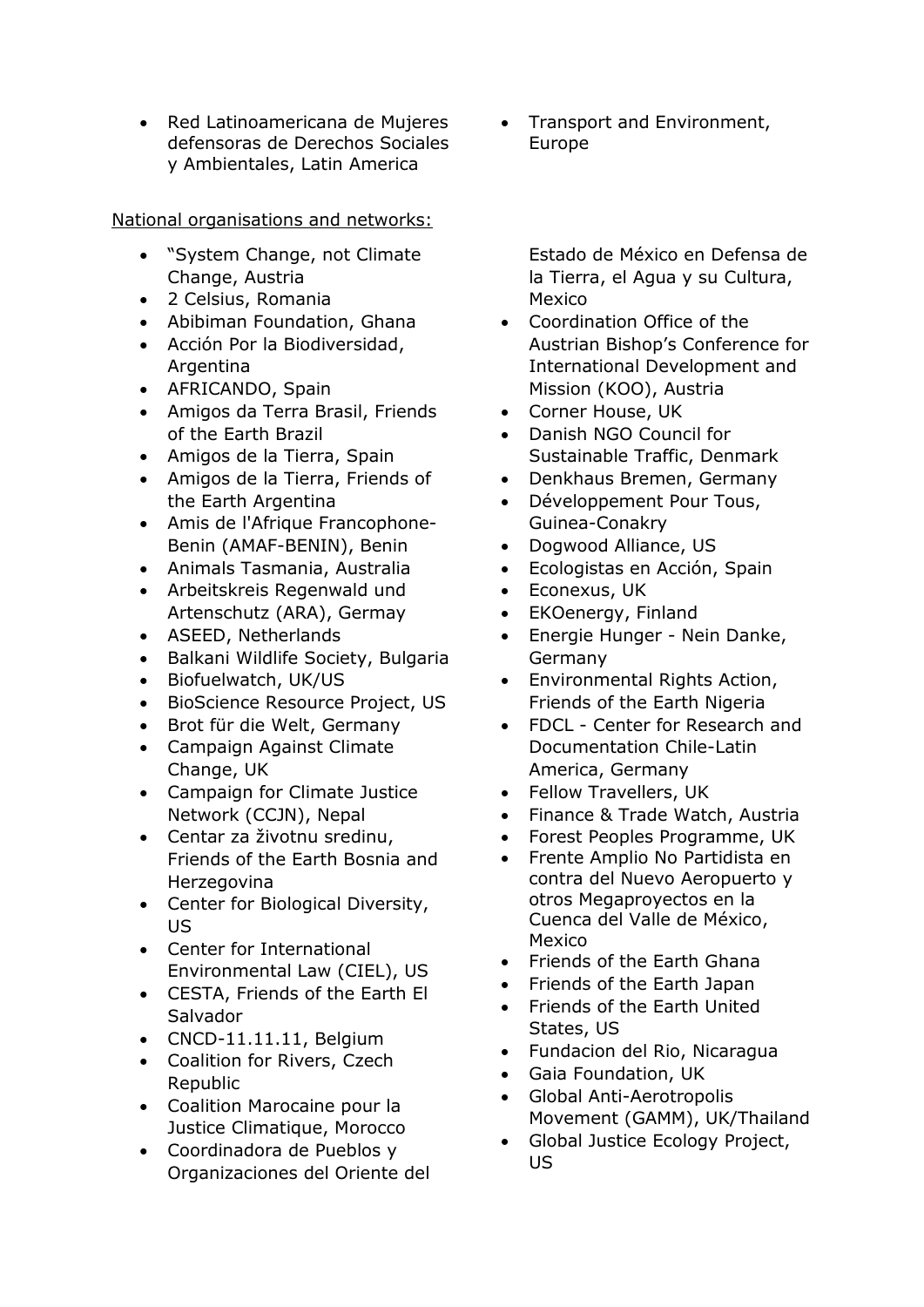Red Latinoamericana de Mujeres defensoras de Derechos Sociales y Ambientales, Latin America

National organisations and networks:

- "System Change, not Climate Change, Austria
- 2 Celsius, Romania
- Abibiman Foundation, Ghana
- Acción Por la Biodiversidad, **Argentina**
- AFRICANDO, Spain
- Amigos da Terra Brasil, Friends of the Earth Brazil
- Amigos de la Tierra, Spain
- Amigos de la Tierra, Friends of the Earth Argentina
- Amis de l'Afrique Francophone-Benin (AMAF-BENIN), Benin
- Animals Tasmania, Australia
- Arbeitskreis Regenwald und Artenschutz (ARA), Germay
- ASEED, Netherlands
- Balkani Wildlife Society, Bulgaria
- Biofuelwatch, UK/US
- BioScience Resource Project, US
- Brot für die Welt, Germany
- Campaign Against Climate Change, UK
- Campaign for Climate Justice Network (CCJN), Nepal
- Centar za životnu sredinu, Friends of the Earth Bosnia and Herzegovina
- Center for Biological Diversity, US
- Center for International Environmental Law (CIEL), US
- CESTA, Friends of the Earth El Salvador
- CNCD-11.11.11, Belgium
- Coalition for Rivers, Czech Republic
- Coalition Marocaine pour la Justice Climatique, Morocco
- Coordinadora de Pueblos y Organizaciones del Oriente del

• Transport and Environment, Europe

Estado de México en Defensa de la Tierra, el Agua y su Cultura, Mexico

- Coordination Office of the Austrian Bishop's Conference for International Development and Mission (KOO), Austria
- Corner House, UK
- Danish NGO Council for Sustainable Traffic, Denmark
- Denkhaus Bremen, Germany
- Développement Pour Tous, Guinea-Conakry
- Dogwood Alliance, US
- Ecologistas en Acción, Spain
- Econexus, UK
- EKOenergy, Finland
- Energie Hunger Nein Danke, Germany
- Environmental Rights Action, Friends of the Earth Nigeria
- FDCL Center for Research and Documentation Chile-Latin America, Germany
- Fellow Travellers, UK
- Finance & Trade Watch, Austria
- Forest Peoples Programme, UK
- Frente Amplio No Partidista en contra del Nuevo Aeropuerto y otros Megaproyectos en la Cuenca del Valle de México, Mexico
- Friends of the Earth Ghana
- Friends of the Earth Japan
- Friends of the Earth United States, US
- Fundacion del Rio, Nicaragua
- Gaia Foundation, UK
- Global Anti-Aerotropolis Movement (GAMM), UK/Thailand
- Global Justice Ecology Project, US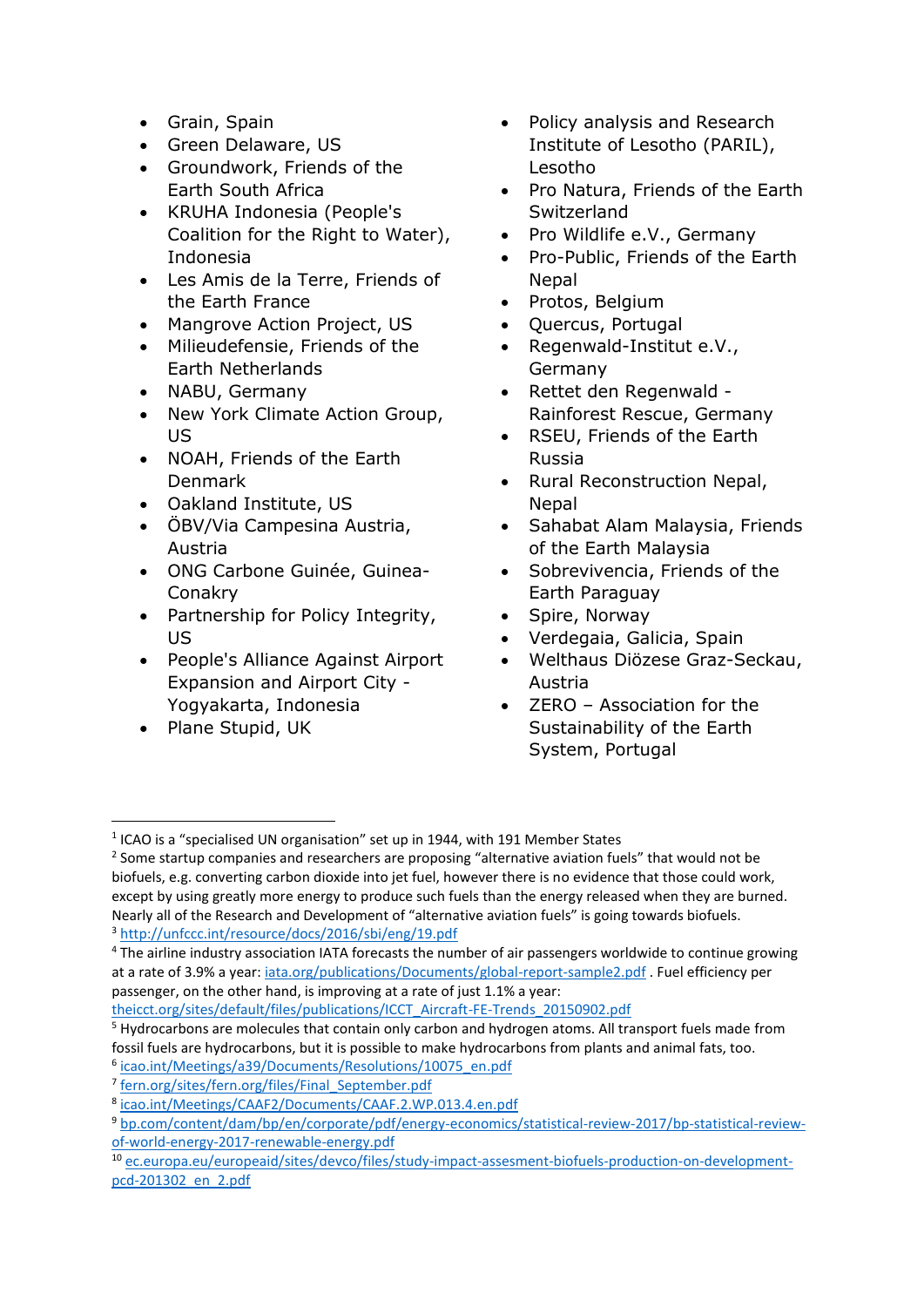- Grain, Spain
- Green Delaware, US
- Groundwork, Friends of the Earth South Africa
- KRUHA Indonesia (People's Coalition for the Right to Water), Indonesia
- Les Amis de la Terre, Friends of the Earth France
- Mangrove Action Project, US
- Milieudefensie, Friends of the Earth Netherlands
- NABU, Germany
- New York Climate Action Group, US
- NOAH, Friends of the Earth Denmark
- Oakland Institute, US
- ÖBV/Via Campesina Austria, Austria
- ONG Carbone Guinée, Guinea-Conakry
- Partnership for Policy Integrity, US
- People's Alliance Against Airport Expansion and Airport City - Yogyakarta, Indonesia
- Plane Stupid, UK
- Policy analysis and Research Institute of Lesotho (PARIL), Lesotho
- Pro Natura, Friends of the Earth Switzerland
- Pro Wildlife e.V., Germany
- Pro-Public, Friends of the Earth Nepal
- Protos, Belgium
- Quercus, Portugal
- Regenwald-Institut e.V., Germany
- Rettet den Regenwald Rainforest Rescue, Germany
- RSEU, Friends of the Earth Russia
- Rural Reconstruction Nepal, Nepal
- Sahabat Alam Malaysia, Friends of the Earth Malaysia
- Sobrevivencia, Friends of the Earth Paraguay
- Spire, Norway
- Verdegaia, Galicia, Spain
- Welthaus Diözese Graz-Seckau, Austria
- ZERO Association for the Sustainability of the Earth System, Portugal

 $<sup>1</sup>$  ICAO is a "specialised UN organisation" set up in 1944, with 191 Member States</sup> **.** 

<sup>&</sup>lt;sup>2</sup> Some startup companies and researchers are proposing "alternative aviation fuels" that would not be biofuels, e.g. converting carbon dioxide into jet fuel, however there is no evidence that those could work, except by using greatly more energy to produce such fuels than the energy released when they are burned. Nearly all of the Research and Development of "alternative aviation fuels" is going towards biofuels. <sup>3</sup> <http://unfccc.int/resource/docs/2016/sbi/eng/19.pdf>

<sup>4</sup> The airline industry association IATA forecasts the number of air passengers worldwide to continue growing at a rate of 3.9% a year[: iata.org/publications/Documents/global-report-sample2.pdf](http://www.iata.org/publications/Documents/global-report-sample2.pdf) . Fuel efficiency per passenger, on the other hand, is improving at a rate of just 1.1% a year:

[theicct.org/sites/default/files/publications/ICCT\\_Aircraft-FE-Trends\\_20150902.pdf](http://theicct.org/sites/default/files/publications/ICCT_Aircraft-FE-Trends_20150902.pdf)

<sup>5</sup> Hydrocarbons are molecules that contain only carbon and hydrogen atoms. All transport fuels made from fossil fuels are hydrocarbons, but it is possible to make hydrocarbons from plants and animal fats, too.

<sup>6</sup> [icao.int/Meetings/a39/Documents/Resolutions/10075\\_en.pdf](https://www.icao.int/Meetings/a39/Documents/Resolutions/10075_en.pdf)

<sup>&</sup>lt;sup>7</sup> [fern.org/sites/fern.org/files/Final\\_September.pdf](http://www.fern.org/sites/fern.org/files/Final_September.pdf)

<sup>8</sup> [icao.int/Meetings/CAAF2/Documents/CAAF.2.WP.013.4.en.pdf](https://www.icao.int/Meetings/CAAF2/Documents/CAAF.2.WP.013.4.en.pdf)

<sup>9</sup> [bp.com/content/dam/bp/en/corporate/pdf/energy-economics/statistical-review-2017/bp-statistical-review](http://www.bp.com/content/dam/bp/en/corporate/pdf/energy-economics/statistical-review-2017/bp-statistical-review-of-world-energy-2017-renewable-energy.pdf)[of-world-energy-2017-renewable-energy.pdf](http://www.bp.com/content/dam/bp/en/corporate/pdf/energy-economics/statistical-review-2017/bp-statistical-review-of-world-energy-2017-renewable-energy.pdf)

<sup>10</sup> [ec.europa.eu/europeaid/sites/devco/files/study-impact-assesment-biofuels-production-on-development](https://ec.europa.eu/europeaid/sites/devco/files/study-impact-assesment-biofuels-production-on-development-pcd-201302_en_2.pdf)[pcd-201302\\_en\\_2.pdf](https://ec.europa.eu/europeaid/sites/devco/files/study-impact-assesment-biofuels-production-on-development-pcd-201302_en_2.pdf)